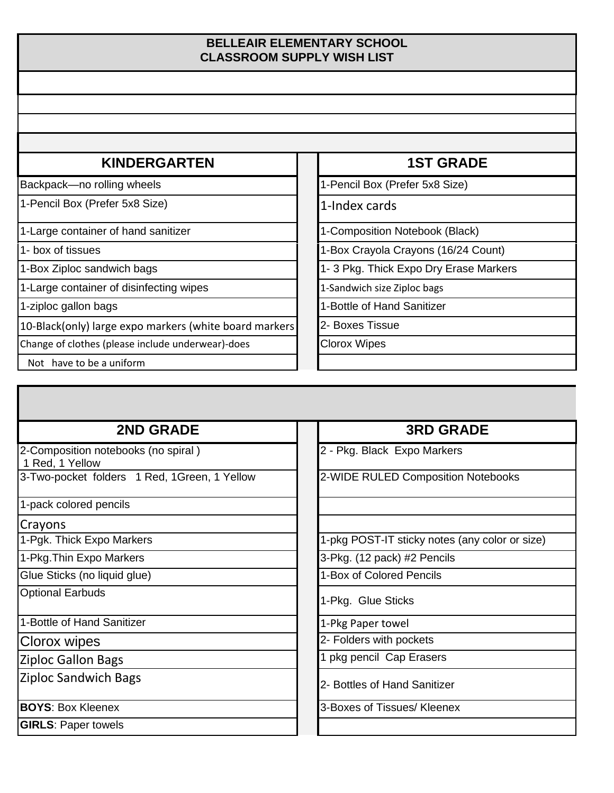### **BELLEAIR ELEMENTARY SCHOOL CLASSROOM SUPPLY WISH LIST**

## **KINDERGARTEN 1ST GRADE**

Backpack—no rolling wheels 1-Pencil Box (Prefer 5x8 Size)

1-Pencil Box (Prefer 5x8 Size) 1-Index cards

1-Large container of hand sanitizer 1-Composition Notebook (Black)

1-Large container of disinfecting wipes 1-Sandwich size Ziploc bags

10-Black(only) large expo markers (white board markers 2- Boxes Tissue

Change of clothes (please include underwear)-does **Clorox Wipes** 

Not have to be a uniform

1- box of tissues 1-box of tissues 1-box Crayola Crayons (16/24 Count)

1-Box Ziploc sandwich bags 1- 3 Pkg. Thick Expo Dry Erase Markers

1-ziploc gallon bags 1-bit 1-Bottle of Hand Sanitizer

# **2ND GRADE 3RD GRADE**

2-Composition notebooks (no spiral )

1 Red, 1 Yellow

3-Two-pocket folders 1 Red, 1Green, 1 Yellow 2-WIDE RULED Composition Notebooks

1-pack colored pencils

Crayons

Optional Earbuds

1-Bottle of Hand Sanitizer 1-Pkg Paper towel

Ziploc Sandwich Bags 2- Bottles of Hand Sanitizer

**GIRLS**: Paper towels

2 - Pkg. Black Expo Markers

1-Pgk. Thick Expo Markers 1-pkg POST-IT sticky notes (any color or size)

1-Pkg.Thin Expo Markers 3-Pkg. (12 pack) #2 Pencils

Glue Sticks (no liquid glue) 1-Box of Colored Pencils

1-Pkg. Glue Sticks

Clorox wipes 2- Folders with pockets

Ziploc Gallon Bags 1 pkg pencil Cap Erasers

**BOYS:** Box Kleenex **3-Boxes of Tissues/ Kleenex**